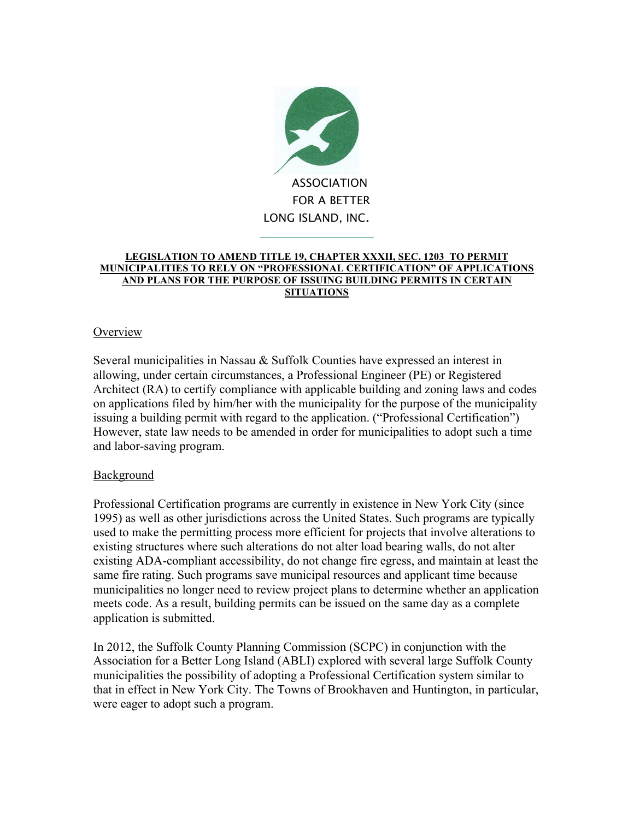

## **LEGISLATION TO AMEND TITLE 19, CHAPTER XXXII, SEC. 1203 TO PERMIT MUNICIPALITIES TO RELY ON "PROFESSIONAL CERTIFICATION" OF APPLICATIONS AND PLANS FOR THE PURPOSE OF ISSUING BUILDING PERMITS IN CERTAIN SITUATIONS**

# **Overview**

Several municipalities in Nassau & Suffolk Counties have expressed an interest in allowing, under certain circumstances, a Professional Engineer (PE) or Registered Architect (RA) to certify compliance with applicable building and zoning laws and codes on applications filed by him/her with the municipality for the purpose of the municipality issuing a building permit with regard to the application. ("Professional Certification") However, state law needs to be amended in order for municipalities to adopt such a time and labor-saving program.

# **Background**

Professional Certification programs are currently in existence in New York City (since 1995) as well as other jurisdictions across the United States. Such programs are typically used to make the permitting process more efficient for projects that involve alterations to existing structures where such alterations do not alter load bearing walls, do not alter existing ADA-compliant accessibility, do not change fire egress, and maintain at least the same fire rating. Such programs save municipal resources and applicant time because municipalities no longer need to review project plans to determine whether an application meets code. As a result, building permits can be issued on the same day as a complete application is submitted.

In 2012, the Suffolk County Planning Commission (SCPC) in conjunction with the Association for a Better Long Island (ABLI) explored with several large Suffolk County municipalities the possibility of adopting a Professional Certification system similar to that in effect in New York City. The Towns of Brookhaven and Huntington, in particular, were eager to adopt such a program.